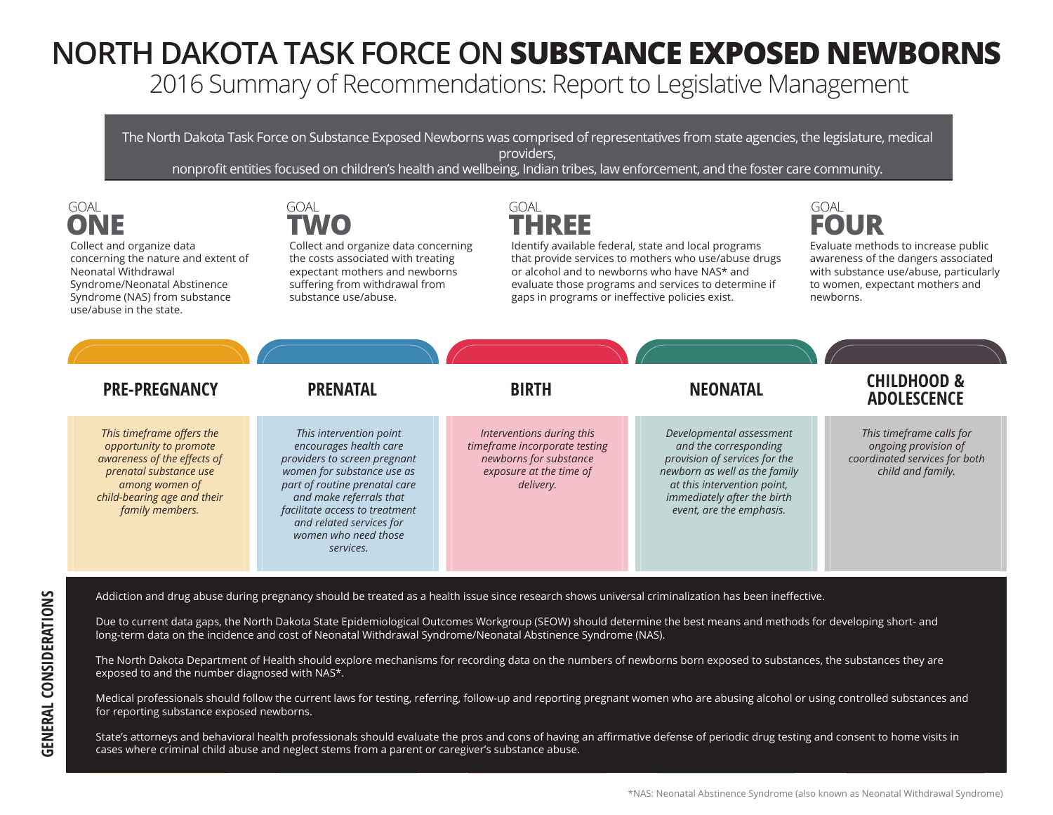## **NORTH DAKOTA TASK FORCE ON SUBSTANCE EXPOSED NEWBORNS**

2016 Summary of Recommendations: Report to Legislative Management

The North Dakota Task Force on Substance Exposed Newborns was comprised of representatives from state agencies, the legislature, medical providers,

nonprofit entities focused on children's health and wellbeing, Indian tribes, law enforcement, and the foster care community.

**ONE**

Collect and organize data concerning the nature and extent of Neonatal Withdrawal Syndrome/Neonatal Abstinence Syndrome (NAS) from substance use/abuse in the state.

GOAL GOAL GOAL GOAL **TWO**

Collect and organize data concerning the costs associated with treating expectant mothers and newborns suffering from withdrawal from substance use/abuse.

Identify available federal, state and local programs that provide services to mothers who use/abuse drugs or alcohol and to newborns who have NAS\* and evaluate those programs and services to determine if gaps in programs or ineffective policies exist. **THREE**



Evaluate methods to increase public awareness of the dangers associated with substance use/abuse, particularly to women, expectant mothers and newborns.

| <b>PRE-PREGNANCY</b>                                                                                                                                                             | <b>PRENATAL</b>                                                                                                                                                                                                                                                                | <b>BIRTH</b>                                                                                                                 | <b>NEONATAL</b>                                                                                                                                                                                               | <b>CHILDHOOD &amp;</b><br><b>ADOLESCENCE</b>                                                           |
|----------------------------------------------------------------------------------------------------------------------------------------------------------------------------------|--------------------------------------------------------------------------------------------------------------------------------------------------------------------------------------------------------------------------------------------------------------------------------|------------------------------------------------------------------------------------------------------------------------------|---------------------------------------------------------------------------------------------------------------------------------------------------------------------------------------------------------------|--------------------------------------------------------------------------------------------------------|
| This timeframe offers the<br>opportunity to promote<br>awareness of the effects of<br>prenatal substance use<br>among women of<br>child-bearing age and their<br>family members. | This intervention point<br>encourages health care<br>providers to screen pregnant<br>women for substance use as<br>part of routine prenatal care<br>and make referrals that<br>facilitate access to treatment<br>and related services for<br>women who need those<br>services. | Interventions during this<br>timeframe incorporate testing<br>newborns for substance<br>exposure at the time of<br>delivery. | Developmental assessment<br>and the corresponding<br>provision of services for the<br>newborn as well as the family<br>at this intervention point,<br>immediately after the birth<br>event, are the emphasis. | This timeframe calls for<br>ongoing provision of<br>coordinated services for both<br>child and family. |

Addiction and drug abuse during pregnancy should be treated as a health issue since research shows universal criminalization has been ineffective.

Due to current data gaps, the North Dakota State Epidemiological Outcomes Workgroup (SEOW) should determine the best means and methods for developing short- and long-term data on the incidence and cost of Neonatal Withdrawal Syndrome/Neonatal Abstinence Syndrome (NAS).

The North Dakota Department of Health should explore mechanisms for recording data on the numbers of newborns born exposed to substances, the substances they are exposed to and the number diagnosed with NAS\*.

Medical professionals should follow the current laws for testing, referring, follow-up and reporting pregnant women who are abusing alcohol or using controlled substances and for reporting substance exposed newborns.

State's attorneys and behavioral health professionals should evaluate the pros and cons of having an affirmative defense of periodic drug testing and consent to home visits in cases where criminal child abuse and neglect stems from a parent or caregiver's substance abuse.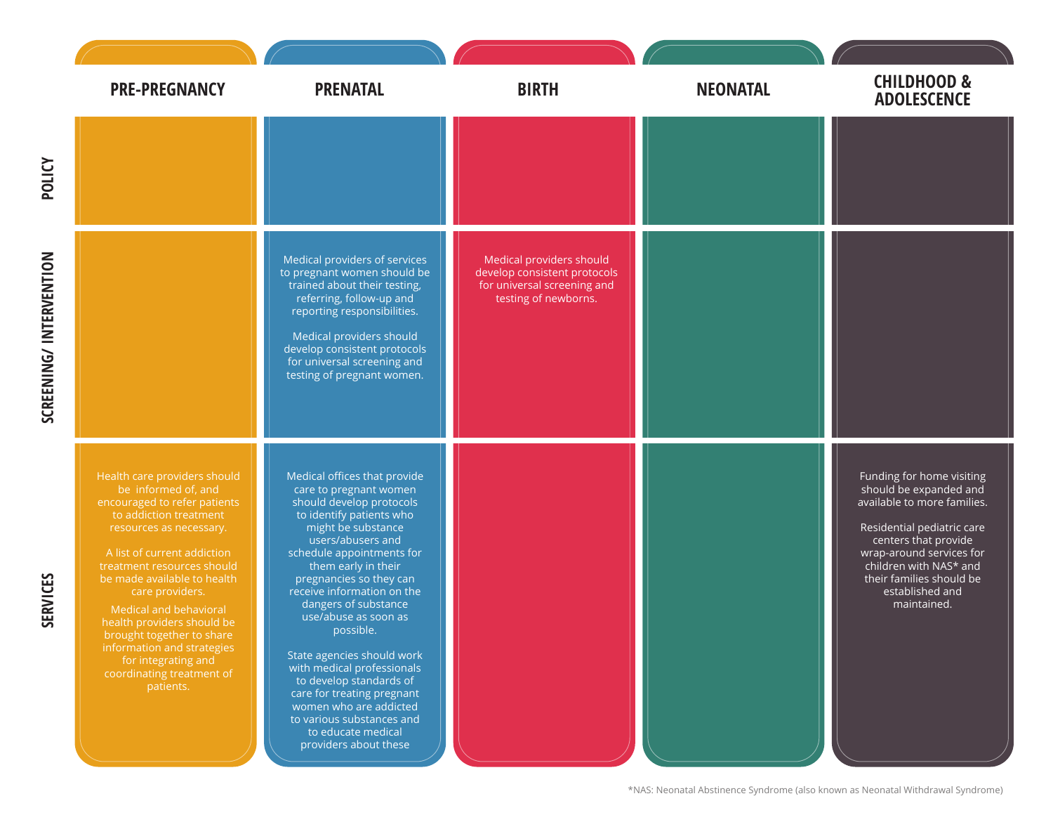| <b>PRE-PREGNANCY</b>                                                                                                                                                                                                                                                                                                                                                                                                                        | <b>PRENATAL</b>                                                                                                                                                                                                                                                                                                                                                                                                                                                                                                                                                | <b>BIRTH</b>                                                                                                    | <b>NEONATAL</b> | <b>CHILDHOOD &amp;</b><br><b>ADOLESCENCE</b>                                                                                                                                                                                                                 |
|---------------------------------------------------------------------------------------------------------------------------------------------------------------------------------------------------------------------------------------------------------------------------------------------------------------------------------------------------------------------------------------------------------------------------------------------|----------------------------------------------------------------------------------------------------------------------------------------------------------------------------------------------------------------------------------------------------------------------------------------------------------------------------------------------------------------------------------------------------------------------------------------------------------------------------------------------------------------------------------------------------------------|-----------------------------------------------------------------------------------------------------------------|-----------------|--------------------------------------------------------------------------------------------------------------------------------------------------------------------------------------------------------------------------------------------------------------|
|                                                                                                                                                                                                                                                                                                                                                                                                                                             |                                                                                                                                                                                                                                                                                                                                                                                                                                                                                                                                                                |                                                                                                                 |                 |                                                                                                                                                                                                                                                              |
|                                                                                                                                                                                                                                                                                                                                                                                                                                             | Medical providers of services<br>to pregnant women should be<br>trained about their testing,<br>referring, follow-up and<br>reporting responsibilities.<br>Medical providers should<br>develop consistent protocols<br>for universal screening and<br>testing of pregnant women.                                                                                                                                                                                                                                                                               | Medical providers should<br>develop consistent protocols<br>for universal screening and<br>testing of newborns. |                 |                                                                                                                                                                                                                                                              |
| Health care providers should<br>be informed of, and<br>encouraged to refer patients<br>to addiction treatment<br>resources as necessary.<br>A list of current addiction<br>treatment resources should<br>be made available to health<br>care providers.<br>Medical and behavioral<br>health providers should be<br>brought together to share<br>information and strategies<br>for integrating and<br>coordinating treatment of<br>patients. | Medical offices that provide<br>care to pregnant women<br>should develop protocols<br>to identify patients who<br>might be substance<br>users/abusers and<br>schedule appointments for<br>them early in their<br>pregnancies so they can<br>receive information on the<br>dangers of substance<br>use/abuse as soon as<br>possible.<br>State agencies should work<br>with medical professionals<br>to develop standards of<br>care for treating pregnant<br>women who are addicted<br>to various substances and<br>to educate medical<br>providers about these |                                                                                                                 |                 | Funding for home visiting<br>should be expanded and<br>available to more families.<br>Residential pediatric care<br>centers that provide<br>wrap-around services for<br>children with NAS* and<br>their families should be<br>established and<br>maintained. |

\*NAS: Neonatal Abstinence Syndrome (also known as Neonatal Withdrawal Syndrome)